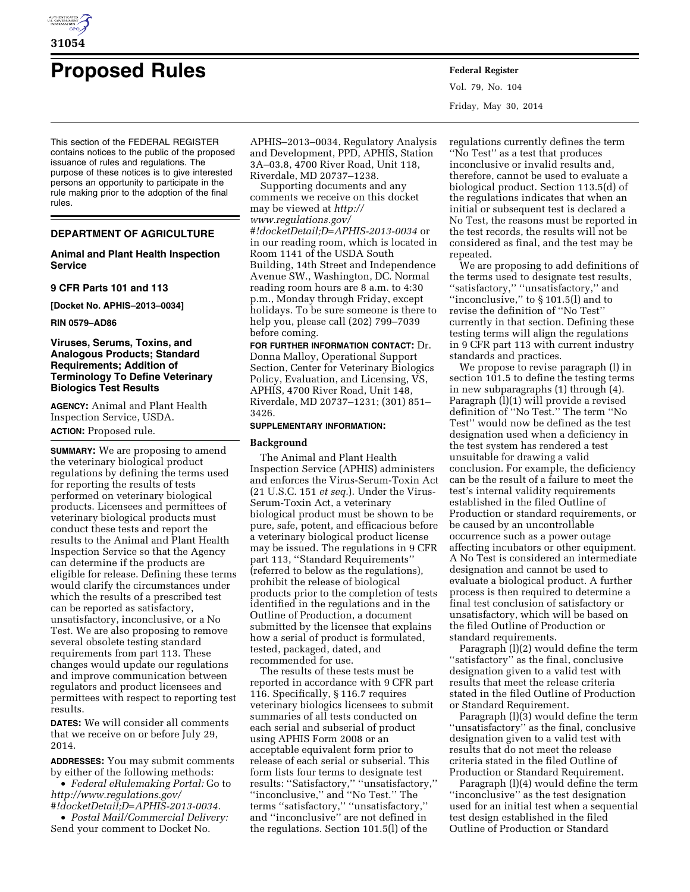

# **Proposed Rules Federal Register**

This section of the FEDERAL REGISTER contains notices to the public of the proposed issuance of rules and regulations. The purpose of these notices is to give interested persons an opportunity to participate in the rule making prior to the adoption of the final rules.

# **DEPARTMENT OF AGRICULTURE**

# **Animal and Plant Health Inspection Service**

**9 CFR Parts 101 and 113** 

**[Docket No. APHIS–2013–0034]** 

**RIN 0579–AD86** 

# **Viruses, Serums, Toxins, and Analogous Products; Standard Requirements; Addition of Terminology To Define Veterinary Biologics Test Results**

**AGENCY:** Animal and Plant Health Inspection Service, USDA. **ACTION:** Proposed rule.

**SUMMARY:** We are proposing to amend the veterinary biological product regulations by defining the terms used for reporting the results of tests performed on veterinary biological products. Licensees and permittees of veterinary biological products must conduct these tests and report the results to the Animal and Plant Health Inspection Service so that the Agency can determine if the products are eligible for release. Defining these terms would clarify the circumstances under which the results of a prescribed test can be reported as satisfactory, unsatisfactory, inconclusive, or a No Test. We are also proposing to remove several obsolete testing standard requirements from part 113. These changes would update our regulations and improve communication between regulators and product licensees and permittees with respect to reporting test results.

**DATES:** We will consider all comments that we receive on or before July 29, 2014.

**ADDRESSES:** You may submit comments by either of the following methods:

• *Federal eRulemaking Portal:* Go to *[http://www.regulations.gov/](http://www.regulations.gov/#!docketDetail;D=APHIS-2013-0034)*

*[#!docketDetail;D=APHIS-2013-0034.](http://www.regulations.gov/#!docketDetail;D=APHIS-2013-0034)*  • *Postal Mail/Commercial Delivery:* 

Send your comment to Docket No.

APHIS–2013–0034, Regulatory Analysis and Development, PPD, APHIS, Station 3A–03.8, 4700 River Road, Unit 118, Riverdale, MD 20737–1238.

Supporting documents and any comments we receive on this docket may be viewed at *[http://](http://www.regulations.gov/#!docketDetail;D=APHIS-2013-0034) [www.regulations.gov/](http://www.regulations.gov/#!docketDetail;D=APHIS-2013-0034)*

*[#!docketDetail;D=APHIS-2013-0034](http://www.regulations.gov/#!docketDetail;D=APHIS-2013-0034)* or in our reading room, which is located in Room 1141 of the USDA South Building, 14th Street and Independence Avenue SW., Washington, DC. Normal reading room hours are 8 a.m. to 4:30 p.m., Monday through Friday, except holidays. To be sure someone is there to help you, please call (202) 799–7039 before coming.

**FOR FURTHER INFORMATION CONTACT:** Dr. Donna Malloy, Operational Support Section, Center for Veterinary Biologics Policy, Evaluation, and Licensing, VS, APHIS, 4700 River Road, Unit 148, Riverdale, MD 20737–1231; (301) 851– 3426.

# **SUPPLEMENTARY INFORMATION:**

#### **Background**

The Animal and Plant Health Inspection Service (APHIS) administers and enforces the Virus-Serum-Toxin Act (21 U.S.C. 151 *et seq.*). Under the Virus-Serum-Toxin Act, a veterinary biological product must be shown to be pure, safe, potent, and efficacious before a veterinary biological product license may be issued. The regulations in 9 CFR part 113, ''Standard Requirements'' (referred to below as the regulations), prohibit the release of biological products prior to the completion of tests identified in the regulations and in the Outline of Production, a document submitted by the licensee that explains how a serial of product is formulated, tested, packaged, dated, and recommended for use.

The results of these tests must be reported in accordance with 9 CFR part 116. Specifically, § 116.7 requires veterinary biologics licensees to submit summaries of all tests conducted on each serial and subserial of product using APHIS Form 2008 or an acceptable equivalent form prior to release of each serial or subserial. This form lists four terms to designate test results: ''Satisfactory,'' ''unsatisfactory,'' ''inconclusive,'' and ''No Test.'' The terms ''satisfactory,'' ''unsatisfactory,'' and ''inconclusive'' are not defined in the regulations. Section 101.5(l) of the

Vol. 79, No. 104 Friday, May 30, 2014

regulations currently defines the term ''No Test'' as a test that produces inconclusive or invalid results and, therefore, cannot be used to evaluate a biological product. Section 113.5(d) of the regulations indicates that when an initial or subsequent test is declared a No Test, the reasons must be reported in the test records, the results will not be considered as final, and the test may be repeated.

We are proposing to add definitions of the terms used to designate test results, ''satisfactory,'' ''unsatisfactory,'' and ''inconclusive,'' to § 101.5(l) and to revise the definition of ''No Test'' currently in that section. Defining these testing terms will align the regulations in 9 CFR part 113 with current industry standards and practices.

We propose to revise paragraph (l) in section 101.5 to define the testing terms in new subparagraphs (1) through (4). Paragraph  $(1)(1)$  will provide a revised definition of ''No Test.'' The term ''No Test'' would now be defined as the test designation used when a deficiency in the test system has rendered a test unsuitable for drawing a valid conclusion. For example, the deficiency can be the result of a failure to meet the test's internal validity requirements established in the filed Outline of Production or standard requirements, or be caused by an uncontrollable occurrence such as a power outage affecting incubators or other equipment. A No Test is considered an intermediate designation and cannot be used to evaluate a biological product. A further process is then required to determine a final test conclusion of satisfactory or unsatisfactory, which will be based on the filed Outline of Production or standard requirements.

Paragraph (l)(2) would define the term ''satisfactory'' as the final, conclusive designation given to a valid test with results that meet the release criteria stated in the filed Outline of Production or Standard Requirement.

Paragraph (l)(3) would define the term ''unsatisfactory'' as the final, conclusive designation given to a valid test with results that do not meet the release criteria stated in the filed Outline of Production or Standard Requirement.

Paragraph (l)(4) would define the term ''inconclusive'' as the test designation used for an initial test when a sequential test design established in the filed Outline of Production or Standard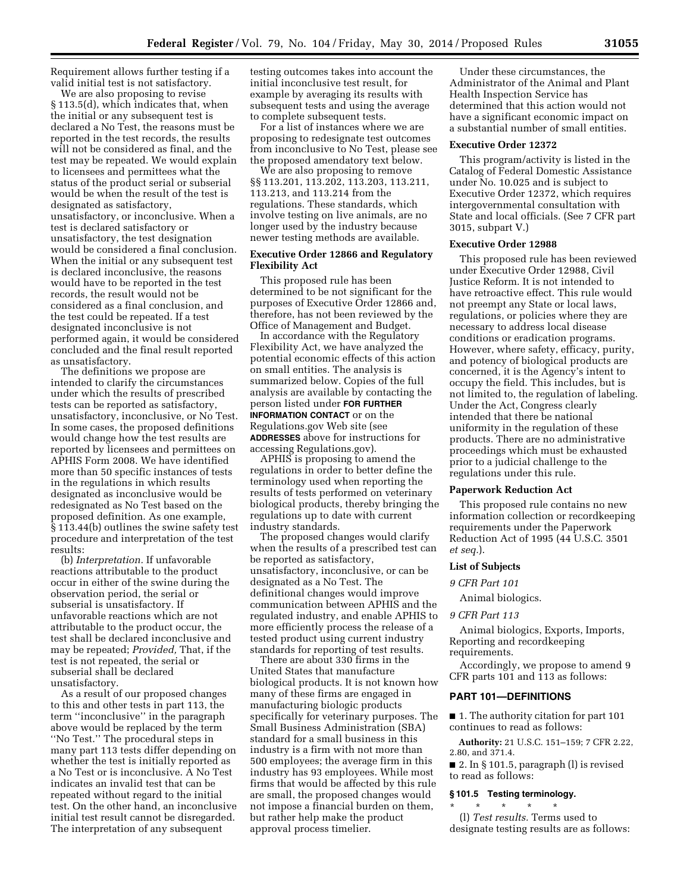Requirement allows further testing if a valid initial test is not satisfactory.

We are also proposing to revise § 113.5(d), which indicates that, when the initial or any subsequent test is declared a No Test, the reasons must be reported in the test records, the results will not be considered as final, and the test may be repeated. We would explain to licensees and permittees what the status of the product serial or subserial would be when the result of the test is designated as satisfactory, unsatisfactory, or inconclusive. When a test is declared satisfactory or unsatisfactory, the test designation would be considered a final conclusion. When the initial or any subsequent test is declared inconclusive, the reasons would have to be reported in the test records, the result would not be considered as a final conclusion, and the test could be repeated. If a test designated inconclusive is not performed again, it would be considered concluded and the final result reported as unsatisfactory.

The definitions we propose are intended to clarify the circumstances under which the results of prescribed tests can be reported as satisfactory, unsatisfactory, inconclusive, or No Test. In some cases, the proposed definitions would change how the test results are reported by licensees and permittees on APHIS Form 2008. We have identified more than 50 specific instances of tests in the regulations in which results designated as inconclusive would be redesignated as No Test based on the proposed definition. As one example, § 113.44(b) outlines the swine safety test procedure and interpretation of the test results:

(b) *Interpretation.* If unfavorable reactions attributable to the product occur in either of the swine during the observation period, the serial or subserial is unsatisfactory. If unfavorable reactions which are not attributable to the product occur, the test shall be declared inconclusive and may be repeated; *Provided,* That, if the test is not repeated, the serial or subserial shall be declared unsatisfactory.

As a result of our proposed changes to this and other tests in part 113, the term ''inconclusive'' in the paragraph above would be replaced by the term ''No Test.'' The procedural steps in many part 113 tests differ depending on whether the test is initially reported as a No Test or is inconclusive. A No Test indicates an invalid test that can be repeated without regard to the initial test. On the other hand, an inconclusive initial test result cannot be disregarded. The interpretation of any subsequent

testing outcomes takes into account the initial inconclusive test result, for example by averaging its results with subsequent tests and using the average to complete subsequent tests.

For a list of instances where we are proposing to redesignate test outcomes from inconclusive to No Test, please see the proposed amendatory text below.

We are also proposing to remove §§ 113.201, 113.202, 113.203, 113.211, 113.213, and 113.214 from the regulations. These standards, which involve testing on live animals, are no longer used by the industry because newer testing methods are available.

# **Executive Order 12866 and Regulatory Flexibility Act**

This proposed rule has been determined to be not significant for the purposes of Executive Order 12866 and, therefore, has not been reviewed by the Office of Management and Budget.

In accordance with the Regulatory Flexibility Act, we have analyzed the potential economic effects of this action on small entities. The analysis is summarized below. Copies of the full analysis are available by contacting the person listed under **FOR FURTHER INFORMATION CONTACT** or on the Regulations.gov Web site (see **ADDRESSES** above for instructions for accessing Regulations.gov).

APHIS is proposing to amend the regulations in order to better define the terminology used when reporting the results of tests performed on veterinary biological products, thereby bringing the regulations up to date with current industry standards.

The proposed changes would clarify when the results of a prescribed test can be reported as satisfactory, unsatisfactory, inconclusive, or can be designated as a No Test. The definitional changes would improve communication between APHIS and the regulated industry, and enable APHIS to more efficiently process the release of a tested product using current industry standards for reporting of test results.

There are about 330 firms in the United States that manufacture biological products. It is not known how many of these firms are engaged in manufacturing biologic products specifically for veterinary purposes. The Small Business Administration (SBA) standard for a small business in this industry is a firm with not more than 500 employees; the average firm in this industry has 93 employees. While most firms that would be affected by this rule are small, the proposed changes would not impose a financial burden on them, but rather help make the product approval process timelier.

Under these circumstances, the Administrator of the Animal and Plant Health Inspection Service has determined that this action would not have a significant economic impact on a substantial number of small entities.

#### **Executive Order 12372**

This program/activity is listed in the Catalog of Federal Domestic Assistance under No. 10.025 and is subject to Executive Order 12372, which requires intergovernmental consultation with State and local officials. (See 7 CFR part 3015, subpart V.)

#### **Executive Order 12988**

This proposed rule has been reviewed under Executive Order 12988, Civil Justice Reform. It is not intended to have retroactive effect. This rule would not preempt any State or local laws, regulations, or policies where they are necessary to address local disease conditions or eradication programs. However, where safety, efficacy, purity, and potency of biological products are concerned, it is the Agency's intent to occupy the field. This includes, but is not limited to, the regulation of labeling. Under the Act, Congress clearly intended that there be national uniformity in the regulation of these products. There are no administrative proceedings which must be exhausted prior to a judicial challenge to the regulations under this rule.

#### **Paperwork Reduction Act**

This proposed rule contains no new information collection or recordkeeping requirements under the Paperwork Reduction Act of 1995 (44 U.S.C. 3501 *et seq.*).

#### **List of Subjects**

#### *9 CFR Part 101*

Animal biologics.

#### *9 CFR Part 113*

Animal biologics, Exports, Imports, Reporting and recordkeeping requirements.

Accordingly, we propose to amend 9 CFR parts 101 and 113 as follows:

#### **PART 101—DEFINITIONS**

■ 1. The authority citation for part 101 continues to read as follows:

**Authority:** 21 U.S.C. 151–159; 7 CFR 2.22, 2.80, and 371.4.

■ 2. In § 101.5, paragraph (l) is revised to read as follows:

#### **§ 101.5 Testing terminology.**

\* \* \* \* \* (l) *Test results.* Terms used to designate testing results are as follows: